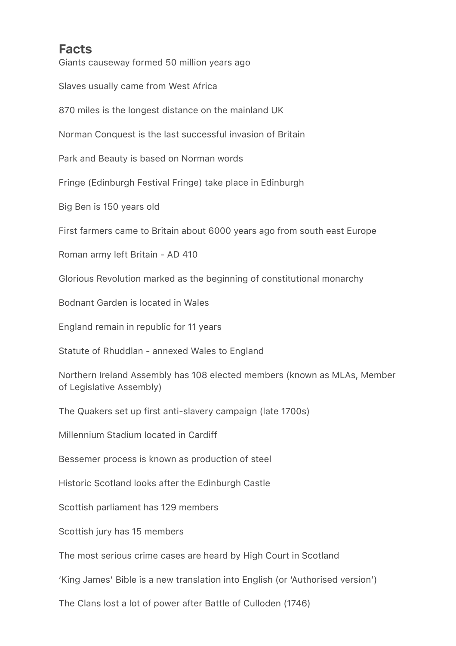## **Facts**

Giants causeway formed 50 million years ago

Slaves usually came from West Africa

870 miles is the longest distance on the mainland UK

Norman Conquest is the last successful invasion of Britain

Park and Beauty is based on Norman words

Fringe (Edinburgh Festival Fringe) take place in Edinburgh

Big Ben is 150 years old

First farmers came to Britain about 6000 years ago from south east Europe

Roman army left Britain - AD 410

Glorious Revolution marked as the beginning of constitutional monarchy

Bodnant Garden is located in Wales

England remain in republic for 11 years

Statute of Rhuddlan - annexed Wales to England

Northern Ireland Assembly has 108 elected members (known as MLAs, Member of Legislative Assembly)

The Quakers set up first anti-slavery campaign (late 1700s)

Millennium Stadium located in Cardiff

Bessemer process is known as production of steel

Historic Scotland looks after the Edinburgh Castle

Scottish parliament has 129 members

Scottish jury has 15 members

The most serious crime cases are heard by High Court in Scotland

'King James' Bible is a new translation into English (or 'Authorised version')

The Clans lost a lot of power after Battle of Culloden (1746)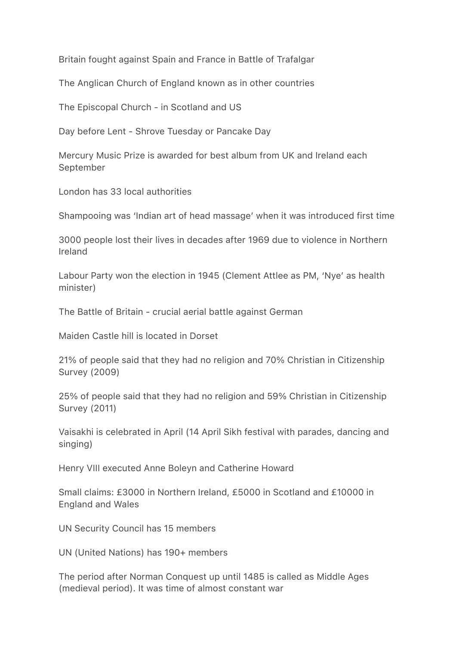Britain fought against Spain and France in Battle of Trafalgar

The Anglican Church of England known as in other countries

The Episcopal Church - in Scotland and US

Day before Lent - Shrove Tuesday or Pancake Day

Mercury Music Prize is awarded for best album from UK and Ireland each September

London has 33 local authorities

Shampooing was 'Indian art of head massage' when it was introduced first time

3000 people lost their lives in decades after 1969 due to violence in Northern Ireland

Labour Party won the election in 1945 (Clement Attlee as PM, 'Nye' as health minister)

The Battle of Britain - crucial aerial battle against German

Maiden Castle hill is located in Dorset

21% of people said that they had no religion and 70% Christian in Citizenship Survey (2009)

25% of people said that they had no religion and 59% Christian in Citizenship Survey (2011)

Vaisakhi is celebrated in April (14 April Sikh festival with parades, dancing and singing)

Henry VIII executed Anne Boleyn and Catherine Howard

Small claims: £3000 in Northern Ireland, £5000 in Scotland and £10000 in England and Wales

UN Security Council has 15 members

UN (United Nations) has 190+ members

The period after Norman Conquest up until 1485 is called as Middle Ages (medieval period). It was time of almost constant war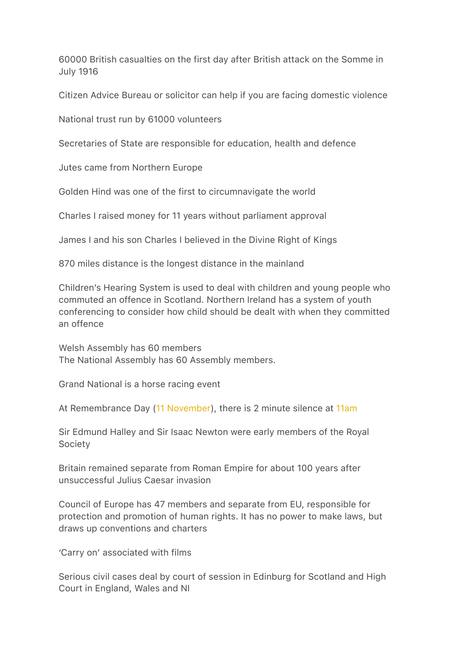60000 British casualties on the first day after British attack on the Somme in July 1916

Citizen Advice Bureau or solicitor can help if you are facing domestic violence

National trust run by 61000 volunteers

Secretaries of State are responsible for education, health and defence

Jutes came from Northern Europe

Golden Hind was one of the first to circumnavigate the world

Charles I raised money for 11 years without parliament approval

James I and his son Charles I believed in the Divine Right of Kings

870 miles distance is the longest distance in the mainland

Children's Hearing System is used to deal with children and young people who commuted an offence in Scotland. Northern Ireland has a system of youth conferencing to consider how child should be dealt with when they committed an offence

Welsh Assembly has 60 members The National Assembly has 60 Assembly members.

Grand National is a horse racing event

At Remembrance Day ([11 November\)](x-apple-data-detectors://embedded-result/3479), there is 2 minute silence at [11am](x-apple-data-detectors://embedded-result/3522)

Sir Edmund Halley and Sir Isaac Newton were early members of the Royal Society

Britain remained separate from Roman Empire for about 100 years after unsuccessful Julius Caesar invasion

Council of Europe has 47 members and separate from EU, responsible for protection and promotion of human rights. It has no power to make laws, but draws up conventions and charters

'Carry on' associated with films

Serious civil cases deal by court of session in Edinburg for Scotland and High Court in England, Wales and NI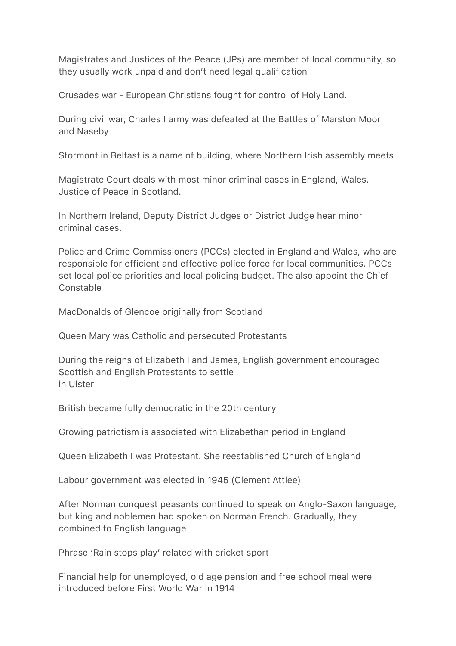Magistrates and Justices of the Peace (JPs) are member of local community, so they usually work unpaid and don't need legal qualification

Crusades war - European Christians fought for control of Holy Land.

During civil war, Charles I army was defeated at the Battles of Marston Moor and Naseby

Stormont in Belfast is a name of building, where Northern Irish assembly meets

Magistrate Court deals with most minor criminal cases in England, Wales. Justice of Peace in Scotland.

In Northern Ireland, Deputy District Judges or District Judge hear minor criminal cases.

Police and Crime Commissioners (PCCs) elected in England and Wales, who are responsible for efficient and effective police force for local communities. PCCs set local police priorities and local policing budget. The also appoint the Chief Constable

MacDonalds of Glencoe originally from Scotland

Queen Mary was Catholic and persecuted Protestants

During the reigns of Elizabeth I and James, English government encouraged Scottish and English Protestants to settle in Ulster

British became fully democratic in the 20th century

Growing patriotism is associated with Elizabethan period in England

Queen Elizabeth I was Protestant. She reestablished Church of England

Labour government was elected in 1945 (Clement Attlee)

After Norman conquest peasants continued to speak on Anglo-Saxon language, but king and noblemen had spoken on Norman French. Gradually, they combined to English language

Phrase 'Rain stops play' related with cricket sport

Financial help for unemployed, old age pension and free school meal were introduced before First World War in 1914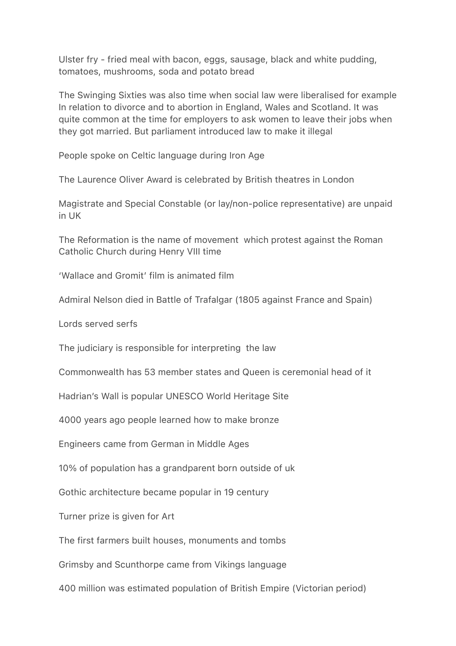Ulster fry - fried meal with bacon, eggs, sausage, black and white pudding, tomatoes, mushrooms, soda and potato bread

The Swinging Sixties was also time when social law were liberalised for example In relation to divorce and to abortion in England, Wales and Scotland. It was quite common at the time for employers to ask women to leave their jobs when they got married. But parliament introduced law to make it illegal

People spoke on Celtic language during Iron Age

The Laurence Oliver Award is celebrated by British theatres in London

Magistrate and Special Constable (or lay/non-police representative) are unpaid in UK

The Reformation is the name of movement which protest against the Roman Catholic Church during Henry VIII time

'Wallace and Gromit' film is animated film

Admiral Nelson died in Battle of Trafalgar (1805 against France and Spain)

Lords served serfs

The judiciary is responsible for interpreting the law

Commonwealth has 53 member states and Queen is ceremonial head of it

Hadrian's Wall is popular UNESCO World Heritage Site

4000 years ago people learned how to make bronze

Engineers came from German in Middle Ages

10% of population has a grandparent born outside of uk

Gothic architecture became popular in 19 century

Turner prize is given for Art

The first farmers built houses, monuments and tombs

Grimsby and Scunthorpe came from Vikings language

400 million was estimated population of British Empire (Victorian period)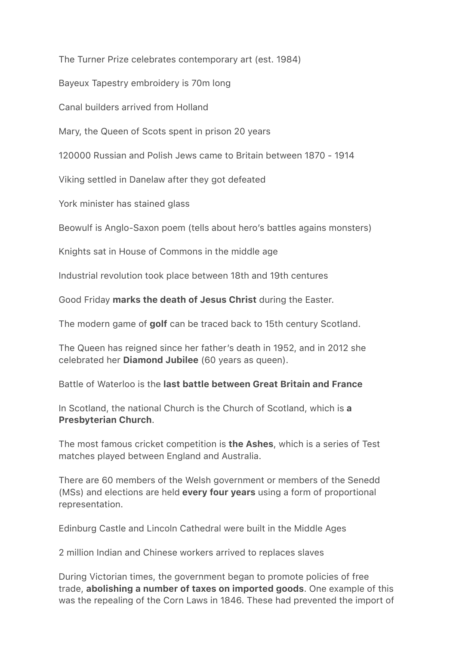The Turner Prize celebrates contemporary art (est. 1984)

Bayeux Tapestry embroidery is 70m long

Canal builders arrived from Holland

Mary, the Queen of Scots spent in prison 20 years

120000 Russian and Polish Jews came to Britain between 1870 - 1914

Viking settled in Danelaw after they got defeated

York minister has stained glass

Beowulf is Anglo-Saxon poem (tells about hero's battles agains monsters)

Knights sat in House of Commons in the middle age

Industrial revolution took place between 18th and 19th centures

Good Friday marks the death of Jesus Christ during the Easter.

The modern game of golf can be traced back to 15th century Scotland.

The Queen has reigned since her father's death in 1952, and in 2012 she celebrated her Diamond Jubilee (60 years as queen).

Battle of Waterloo is the last battle between Great Britain and France

In Scotland, the national Church is the Church of Scotland, which is a Presbyterian Church.

The most famous cricket competition is the Ashes, which is a series of Test matches played between England and Australia.

There are 60 members of the Welsh government or members of the Senedd (MSs) and elections are held every four years using a form of proportional representation.

Edinburg Castle and Lincoln Cathedral were built in the Middle Ages

2 million Indian and Chinese workers arrived to replaces slaves

During Victorian times, the government began to promote policies of free trade, abolishing a number of taxes on imported goods. One example of this was the repealing of the Corn Laws in 1846. These had prevented the import of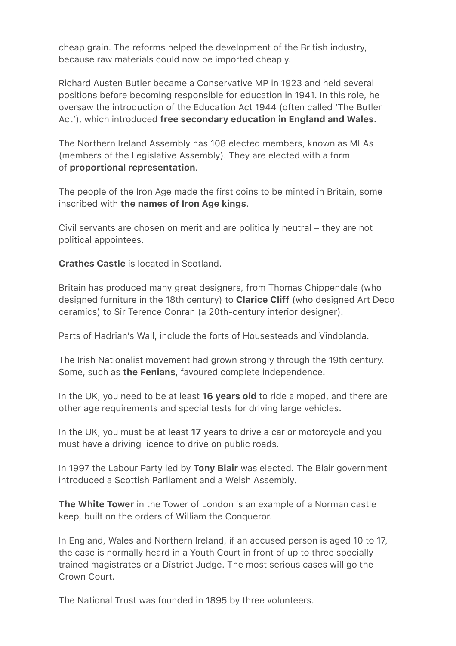cheap grain. The reforms helped the development of the British industry, because raw materials could now be imported cheaply.

Richard Austen Butler became a Conservative MP in 1923 and held several positions before becoming responsible for education in 1941. In this role, he oversaw the introduction of the Education Act 1944 (often called 'The Butler Act'), which introduced free secondary education in England and Wales.

The Northern Ireland Assembly has 108 elected members, known as MLAs (members of the Legislative Assembly). They are elected with a form of proportional representation.

The people of the Iron Age made the first coins to be minted in Britain, some inscribed with the names of Iron Age kings.

Civil servants are chosen on merit and are politically neutral – they are not political appointees.

Crathes Castle is located in Scotland.

Britain has produced many great designers, from Thomas Chippendale (who designed furniture in the 18th century) to **Clarice Cliff** (who designed Art Deco ceramics) to Sir Terence Conran (a 20th-century interior designer).

Parts of Hadrian's Wall, include the forts of Housesteads and Vindolanda.

The Irish Nationalist movement had grown strongly through the 19th century. Some, such as the Fenians, favoured complete independence.

In the UK, you need to be at least 16 years old to ride a moped, and there are other age requirements and special tests for driving large vehicles.

In the UK, you must be at least 17 years to drive a car or motorcycle and you must have a driving licence to drive on public roads.

In 1997 the Labour Party led by Tony Blair was elected. The Blair government introduced a Scottish Parliament and a Welsh Assembly.

The White Tower in the Tower of London is an example of a Norman castle keep, built on the orders of William the Conqueror.

In England, Wales and Northern Ireland, if an accused person is aged 10 to 17, the case is normally heard in a Youth Court in front of up to three specially trained magistrates or a District Judge. The most serious cases will go the Crown Court.

The National Trust was founded in 1895 by three volunteers.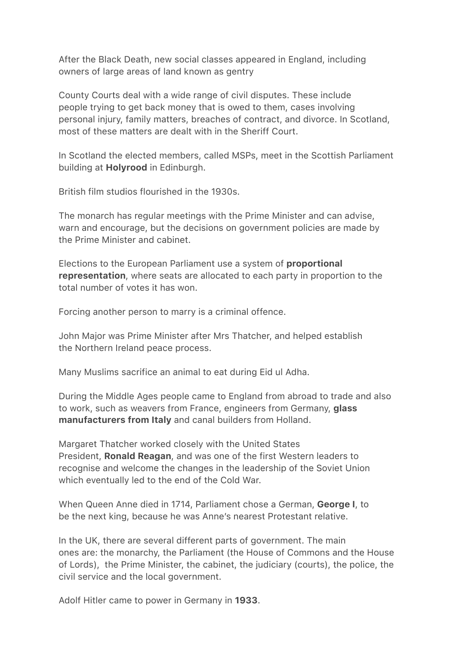After the Black Death, new social classes appeared in England, including owners of large areas of land known as gentry

County Courts deal with a wide range of civil disputes. These include people trying to get back money that is owed to them, cases involving personal injury, family matters, breaches of contract, and divorce. In Scotland, most of these matters are dealt with in the Sheriff Court.

In Scotland the elected members, called MSPs, meet in the Scottish Parliament building at Holyrood in Edinburgh.

British film studios flourished in the 1930s.

The monarch has regular meetings with the Prime Minister and can advise, warn and encourage, but the decisions on government policies are made by the Prime Minister and cabinet.

Elections to the European Parliament use a system of proportional representation, where seats are allocated to each party in proportion to the total number of votes it has won.

Forcing another person to marry is a criminal offence.

John Major was Prime Minister after Mrs Thatcher, and helped establish the Northern Ireland peace process.

Many Muslims sacrifice an animal to eat during Eid ul Adha.

During the Middle Ages people came to England from abroad to trade and also to work, such as weavers from France, engineers from Germany, **glass** manufacturers from Italy and canal builders from Holland.

Margaret Thatcher worked closely with the United States President, Ronald Reagan, and was one of the first Western leaders to recognise and welcome the changes in the leadership of the Soviet Union which eventually led to the end of the Cold War.

When Queen Anne died in 1714, Parliament chose a German, George I, to be the next king, because he was Anne's nearest Protestant relative.

In the UK, there are several different parts of government. The main ones are: the monarchy, the Parliament (the House of Commons and the House of Lords), the Prime Minister, the cabinet, the judiciary (courts), the police, the civil service and the local government.

Adolf Hitler came to power in Germany in 1933.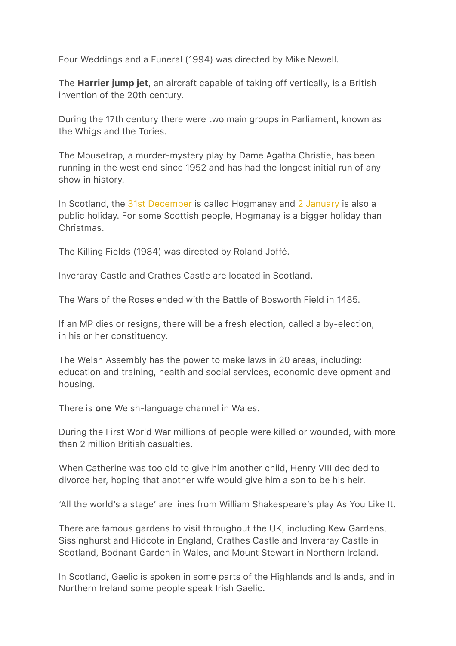Four Weddings and a Funeral (1994) was directed by Mike Newell.

The **Harrier jump jet**, an aircraft capable of taking off vertically, is a British invention of the 20th century.

During the 17th century there were two main groups in Parliament, known as the Whigs and the Tories.

The Mousetrap, a murder-mystery play by Dame Agatha Christie, has been running in the west end since 1952 and has had the longest initial run of any show in history.

In Scotland, the [31st December](x-apple-data-detectors://embedded-result/13416) is called Hogmanay and [2 January](x-apple-data-detectors://embedded-result/13453) is also a public holiday. For some Scottish people, Hogmanay is a bigger holiday than Christmas.

The Killing Fields (1984) was directed by Roland Joffé.

Inveraray Castle and Crathes Castle are located in Scotland.

The Wars of the Roses ended with the Battle of Bosworth Field in 1485.

If an MP dies or resigns, there will be a fresh election, called a by-election, in his or her constituency.

The Welsh Assembly has the power to make laws in 20 areas, including: education and training, health and social services, economic development and housing.

There is **one** Welsh-language channel in Wales.

During the First World War millions of people were killed or wounded, with more than 2 million British casualties.

When Catherine was too old to give him another child, Henry VIII decided to divorce her, hoping that another wife would give him a son to be his heir.

'All the world's a stage' are lines from William Shakespeare's play As You Like It.

There are famous gardens to visit throughout the UK, including Kew Gardens, Sissinghurst and Hidcote in England, Crathes Castle and Inveraray Castle in Scotland, Bodnant Garden in Wales, and Mount Stewart in Northern Ireland.

In Scotland, Gaelic is spoken in some parts of the Highlands and Islands, and in Northern Ireland some people speak Irish Gaelic.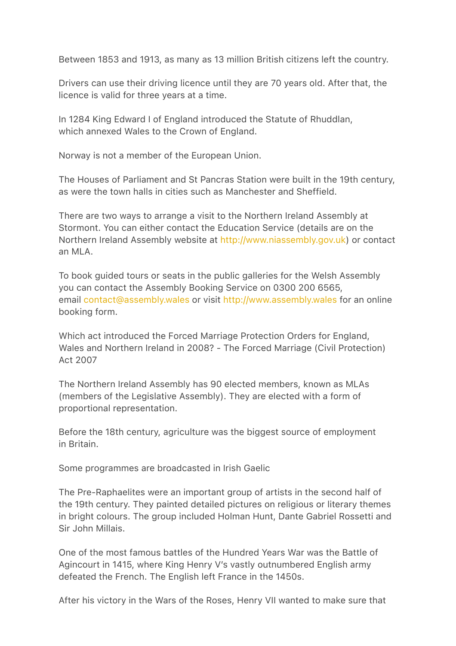Between 1853 and 1913, as many as 13 million British citizens left the country.

Drivers can use their driving licence until they are 70 years old. After that, the licence is valid for three years at a time.

In 1284 King Edward I of England introduced the Statute of Rhuddlan, which annexed Wales to the Crown of England.

Norway is not a member of the European Union.

The Houses of Parliament and St Pancras Station were built in the 19th century, as were the town halls in cities such as Manchester and Sheffield.

There are two ways to arrange a visit to the Northern Ireland Assembly at Stormont. You can either contact the Education Service (details are on the Northern Ireland Assembly website at [http://www.niassembly.gov.uk](http://www.niassembly.gov.uk/)) or contact an MLA.

To book guided tours or seats in the public galleries for the Welsh Assembly you can contact the Assembly Booking Service on 0300 200 6565, email [contact@assembly.wales](mailto:contact@assembly.wales) or visit [http://www.assembly.wales](http://www.assembly.wales/) for an online booking form.

Which act introduced the Forced Marriage Protection Orders for England, Wales and Northern Ireland in 2008? - The Forced Marriage (Civil Protection) Act 2007

The Northern Ireland Assembly has 90 elected members, known as MLAs (members of the Legislative Assembly). They are elected with a form of proportional representation.

Before the 18th century, agriculture was the biggest source of employment in Britain.

Some programmes are broadcasted in Irish Gaelic

The Pre-Raphaelites were an important group of artists in the second half of the 19th century. They painted detailed pictures on religious or literary themes in bright colours. The group included Holman Hunt, Dante Gabriel Rossetti and Sir John Millais.

One of the most famous battles of the Hundred Years War was the Battle of Agincourt in 1415, where King Henry V's vastly outnumbered English army defeated the French. The English left France in the 1450s.

After his victory in the Wars of the Roses, Henry VII wanted to make sure that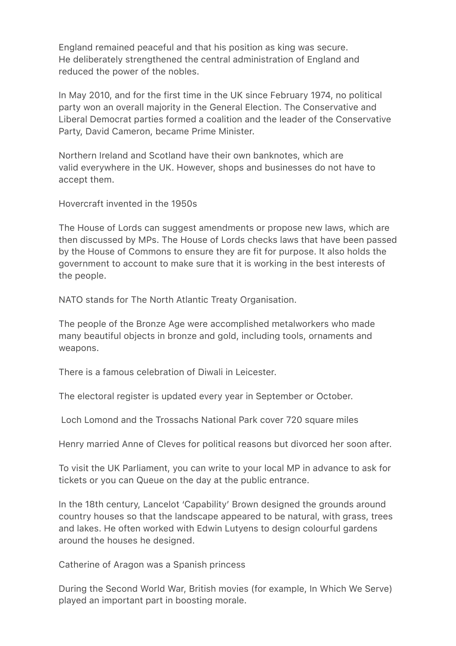England remained peaceful and that his position as king was secure. He deliberately strengthened the central administration of England and reduced the power of the nobles.

In May 2010, and for the first time in the UK since February 1974, no political party won an overall majority in the General Election. The Conservative and Liberal Democrat parties formed a coalition and the leader of the Conservative Party, David Cameron, became Prime Minister.

Northern Ireland and Scotland have their own banknotes, which are valid everywhere in the UK. However, shops and businesses do not have to accept them.

Hovercraft invented in the 1950s

The House of Lords can suggest amendments or propose new laws, which are then discussed by MPs. The House of Lords checks laws that have been passed by the House of Commons to ensure they are fit for purpose. It also holds the government to account to make sure that it is working in the best interests of the people.

NATO stands for The North Atlantic Treaty Organisation.

The people of the Bronze Age were accomplished metalworkers who made many beautiful objects in bronze and gold, including tools, ornaments and weapons.

There is a famous celebration of Diwali in Leicester.

The electoral register is updated every year in September or October.

Loch Lomond and the Trossachs National Park cover 720 square miles

Henry married Anne of Cleves for political reasons but divorced her soon after.

To visit the UK Parliament, you can write to your local MP in advance to ask for tickets or you can Queue on the day at the public entrance.

In the 18th century, Lancelot 'Capability' Brown designed the grounds around country houses so that the landscape appeared to be natural, with grass, trees and lakes. He often worked with Edwin Lutyens to design colourful gardens around the houses he designed.

Catherine of Aragon was a Spanish princess

During the Second World War, British movies (for example, In Which We Serve) played an important part in boosting morale.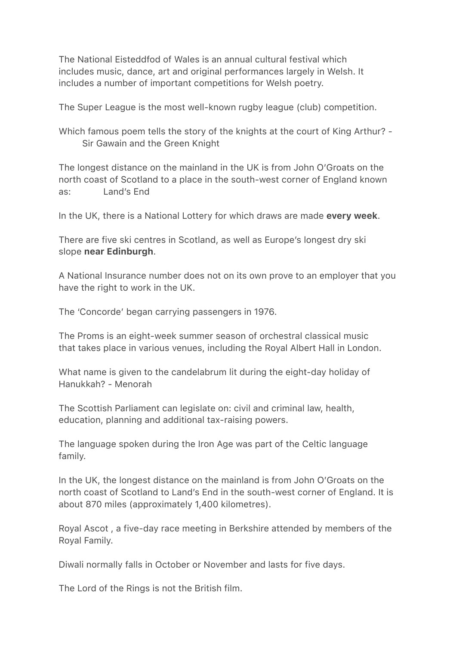The National Eisteddfod of Wales is an annual cultural festival which includes music, dance, art and original performances largely in Welsh. It includes a number of important competitions for Welsh poetry.

The Super League is the most well-known rugby league (club) competition.

Which famous poem tells the story of the knights at the court of King Arthur? - Sir Gawain and the Green Knight

The longest distance on the mainland in the UK is from John O'Groats on the north coast of Scotland to a place in the south-west corner of England known as: Land's End

In the UK, there is a National Lottery for which draws are made every week.

There are five ski centres in Scotland, as well as Europe's longest dry ski slope near Edinburgh.

A National Insurance number does not on its own prove to an employer that you have the right to work in the UK.

The 'Concorde' began carrying passengers in 1976.

The Proms is an eight-week summer season of orchestral classical music that takes place in various venues, including the Royal Albert Hall in London.

What name is given to the candelabrum lit during the eight-day holiday of Hanukkah? - Menorah

The Scottish Parliament can legislate on: civil and criminal law, health, education, planning and additional tax-raising powers.

The language spoken during the Iron Age was part of the Celtic language family.

In the UK, the longest distance on the mainland is from John O'Groats on the north coast of Scotland to Land's End in the south-west corner of England. It is about 870 miles (approximately 1,400 kilometres).

Royal Ascot , a five-day race meeting in Berkshire attended by members of the Royal Family.

Diwali normally falls in October or November and lasts for five days.

The Lord of the Rings is not the British film.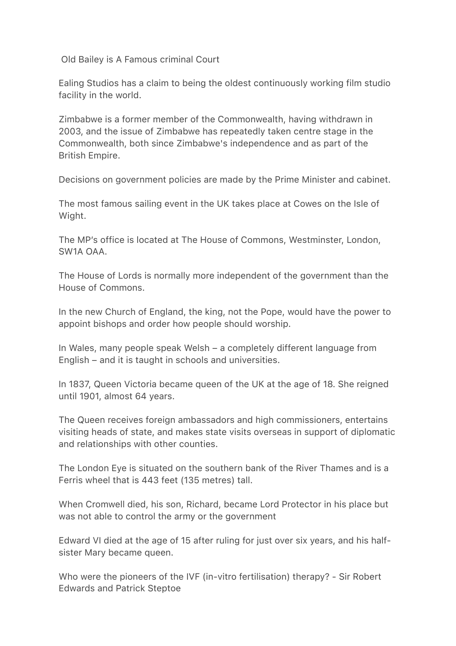Old Bailey is A Famous criminal Court

Ealing Studios has a claim to being the oldest continuously working film studio facility in the world.

Zimbabwe is a former member of the Commonwealth, having withdrawn in 2003, and the issue of Zimbabwe has repeatedly taken centre stage in the Commonwealth, both since Zimbabwe's independence and as part of the British Empire.

Decisions on government policies are made by the Prime Minister and cabinet.

The most famous sailing event in the UK takes place at Cowes on the Isle of Wight.

The MP's office is located at The House of Commons, Westminster, London, SW1A OAA.

The House of Lords is normally more independent of the government than the House of Commons.

In the new Church of England, the king, not the Pope, would have the power to appoint bishops and order how people should worship.

In Wales, many people speak Welsh – a completely different language from English – and it is taught in schools and universities.

In 1837, Queen Victoria became queen of the UK at the age of 18. She reigned until 1901, almost 64 years.

The Queen receives foreign ambassadors and high commissioners, entertains visiting heads of state, and makes state visits overseas in support of diplomatic and relationships with other counties.

The London Eye is situated on the southern bank of the River Thames and is a Ferris wheel that is 443 feet (135 metres) tall.

When Cromwell died, his son, Richard, became Lord Protector in his place but was not able to control the army or the government

Edward VI died at the age of 15 after ruling for just over six years, and his halfsister Mary became queen.

Who were the pioneers of the IVF (in-vitro fertilisation) therapy? - Sir Robert Edwards and Patrick Steptoe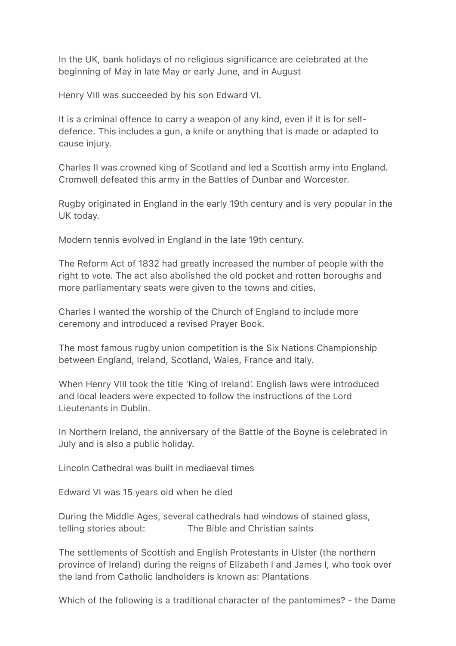In the UK, bank holidays of no religious significance are celebrated at the beginning of May in late May or early June, and in August

Henry VIII was succeeded by his son Edward VI.

It is a criminal offence to carry a weapon of any kind, even if it is for selfdefence. This includes a gun, a knife or anything that is made or adapted to cause injury.

Charles II was crowned king of Scotland and led a Scottish army into England. Cromwell defeated this army in the Battles of Dunbar and Worcester.

Rugby originated in England in the early 19th century and is very popular in the UK today.

Modern tennis evolved in England in the late 19th century.

The Reform Act of 1832 had greatly increased the number of people with the right to vote. The act also abolished the old pocket and rotten boroughs and more parliamentary seats were given to the towns and cities.

Charles I wanted the worship of the Church of England to include more ceremony and introduced a revised Prayer Book.

The most famous rugby union competition is the Six Nations Championship between England, Ireland, Scotland, Wales, France and Italy.

When Henry VIII took the title 'King of Ireland'. English laws were introduced and local leaders were expected to follow the instructions of the Lord Lieutenants in Dublin.

In Northern Ireland, the anniversary of the Battle of the Boyne is celebrated in July and is also a public holiday.

Lincoln Cathedral was built in mediaeval times

Edward VI was 15 years old when he died

During the Middle Ages, several cathedrals had windows of stained glass, telling stories about: The Bible and Christian saints

The settlements of Scottish and English Protestants in Ulster (the northern province of Ireland) during the reigns of Elizabeth I and James I, who took over the land from Catholic landholders is known as: Plantations

Which of the following is a traditional character of the pantomimes? - the Dame